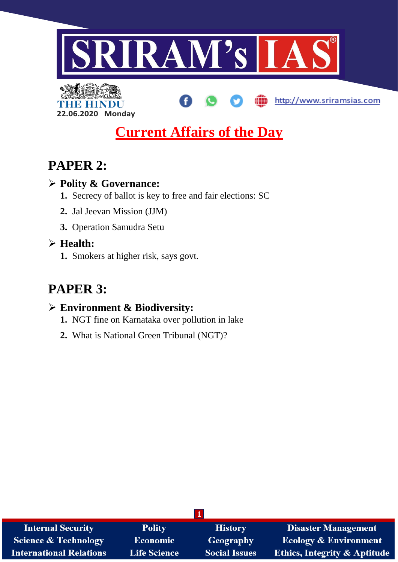

http://www.sriramsias.com



## **Current Affairs of the Day**

## **PAPER 2:**

### **Polity & Governance:**

- **1.** Secrecy of ballot is key to free and fair elections: SC
- **2.** Jal Jeevan Mission (JJM)
- **3.** Operation Samudra Setu

### **Health:**

**1.** Smokers at higher risk, says govt.

## **PAPER 3:**

### **Environment & Biodiversity:**

- **1.** NGT fine on Karnataka over pollution in lake
- **2.** What is National Green Tribunal (NGT)?

| <b>Internal Security</b>        | <b>Polity</b>       | <b>History</b>       | <b>Disaster Management</b>              |
|---------------------------------|---------------------|----------------------|-----------------------------------------|
| <b>Science &amp; Technology</b> | <b>Economic</b>     | <b>Geography</b>     | <b>Ecology &amp; Environment</b>        |
| <b>International Relations</b>  | <b>Life Science</b> | <b>Social Issues</b> | <b>Ethics, Integrity &amp; Aptitude</b> |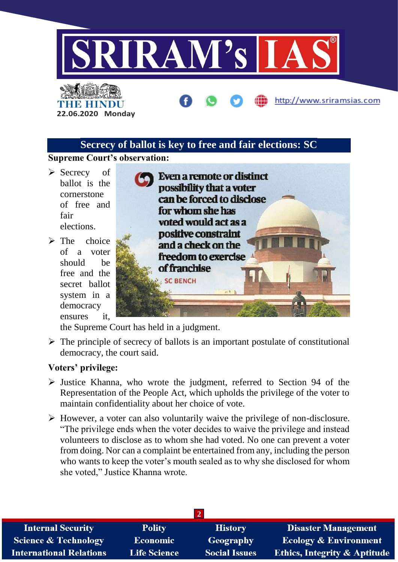

### **Secrecy of ballot is key to free and fair elections: SC**

**Supreme Court's observation:**

- $\triangleright$  Secrecy of ballot is the cornerstone of free and fair elections.
- $\triangleright$  The choice of a voter should be free and the secret ballot system in a democracy ensures it,



the Supreme Court has held in a judgment.

 $\triangleright$  The principle of secrecy of ballots is an important postulate of constitutional democracy, the court said.

#### **Voters' privilege:**

- $\triangleright$  Justice Khanna, who wrote the judgment, referred to Section 94 of the Representation of the People Act, which upholds the privilege of the voter to maintain confidentiality about her choice of vote.
- $\triangleright$  However, a voter can also voluntarily waive the privilege of non-disclosure. "The privilege ends when the voter decides to waive the privilege and instead volunteers to disclose as to whom she had voted. No one can prevent a voter from doing. Nor can a complaint be entertained from any, including the person who wants to keep the voter's mouth sealed as to why she disclosed for whom she voted," Justice Khanna wrote.

| <b>Internal Security</b>        | <b>Polity</b>       | <b>History</b>       | <b>Disaster Management</b>              |  |
|---------------------------------|---------------------|----------------------|-----------------------------------------|--|
| <b>Science &amp; Technology</b> | Economic            | Geography            | <b>Ecology &amp; Environment</b>        |  |
| <b>International Relations</b>  | <b>Life Science</b> | <b>Social Issues</b> | <b>Ethics, Integrity &amp; Aptitude</b> |  |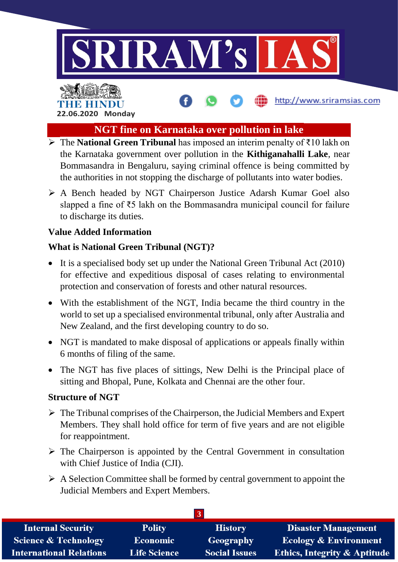

http://www.sriramsias.com

## THE BELLET **22.06.2020 Monday**

#### **NGT fine on Karnataka over pollution in lake**

- The **National Green Tribunal** has imposed an interim penalty of ₹10 lakh on the Karnataka government over pollution in the **Kithiganahalli Lake**, near Bommasandra in Bengaluru, saying criminal offence is being committed by the authorities in not stopping the discharge of pollutants into water bodies.
- A Bench headed by NGT Chairperson Justice Adarsh Kumar Goel also slapped a fine of ₹5 lakh on the Bommasandra municipal council for failure to discharge its duties.

#### **Value Added Information**

#### **What is National Green Tribunal (NGT)?**

- It is a specialised body set up under the National Green Tribunal Act (2010) for effective and expeditious disposal of cases relating to environmental protection and conservation of forests and other natural resources.
- With the establishment of the NGT, India became the third country in the world to set up a specialised environmental tribunal, only after Australia and New Zealand, and the first developing country to do so.
- NGT is mandated to make disposal of applications or appeals finally within 6 months of filing of the same.
- The NGT has five places of sittings, New Delhi is the Principal place of sitting and Bhopal, Pune, Kolkata and Chennai are the other four.

#### **Structure of NGT**

- $\triangleright$  The Tribunal comprises of the Chairperson, the Judicial Members and Expert Members. They shall hold office for term of five years and are not eligible for reappointment.
- $\triangleright$  The Chairperson is appointed by the Central Government in consultation with Chief Justice of India (CJI).
- $\triangleright$  A Selection Committee shall be formed by central government to appoint the Judicial Members and Expert Members.

| <b>Internal Security</b>        | <b>Polity</b>       | <b>History</b>       | <b>Disaster Management</b>              |  |
|---------------------------------|---------------------|----------------------|-----------------------------------------|--|
| <b>Science &amp; Technology</b> | <b>Economic</b>     | Geography            | <b>Ecology &amp; Environment</b>        |  |
| <b>International Relations</b>  | <b>Life Science</b> | <b>Social Issues</b> | <b>Ethics, Integrity &amp; Aptitude</b> |  |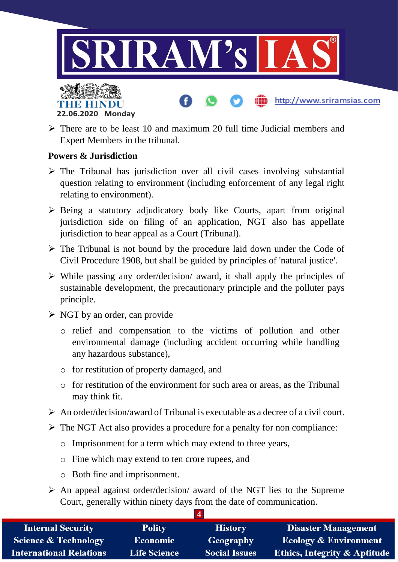

 $\triangleright$  There are to be least 10 and maximum 20 full time Judicial members and Expert Members in the tribunal.

#### **Powers & Jurisdiction**

**22.06.2020 Monday**

- $\triangleright$  The Tribunal has jurisdiction over all civil cases involving substantial question relating to environment (including enforcement of any legal right relating to environment).
- $\triangleright$  Being a statutory adjudicatory body like Courts, apart from original jurisdiction side on filing of an application, NGT also has appellate jurisdiction to hear appeal as a Court (Tribunal).
- $\triangleright$  The Tribunal is not bound by the procedure laid down under the Code of Civil Procedure 1908, but shall be guided by principles of 'natural justice'.
- $\triangleright$  While passing any order/decision/ award, it shall apply the principles of sustainable development, the precautionary principle and the polluter pays principle.
- $\triangleright$  NGT by an order, can provide
	- o relief and compensation to the victims of pollution and other environmental damage (including accident occurring while handling any hazardous substance),
	- o for restitution of property damaged, and
	- o for restitution of the environment for such area or areas, as the Tribunal may think fit.
- $\triangleright$  An order/decision/award of Tribunal is executable as a decree of a civil court.
- $\triangleright$  The NGT Act also provides a procedure for a penalty for non compliance:
	- o Imprisonment for a term which may extend to three years,
	- o Fine which may extend to ten crore rupees, and
	- o Both fine and imprisonment.
- $\triangleright$  An appeal against order/decision/ award of the NGT lies to the Supreme Court, generally within ninety days from the date of communication.

| <b>Internal Security</b>        | <b>Polity</b>       | <b>History</b>       | <b>Disaster Management</b>              |
|---------------------------------|---------------------|----------------------|-----------------------------------------|
| <b>Science &amp; Technology</b> | <b>Economic</b>     | Geography            | <b>Ecology &amp; Environment</b>        |
| <b>International Relations</b>  | <b>Life Science</b> | <b>Social Issues</b> | <b>Ethics, Integrity &amp; Aptitude</b> |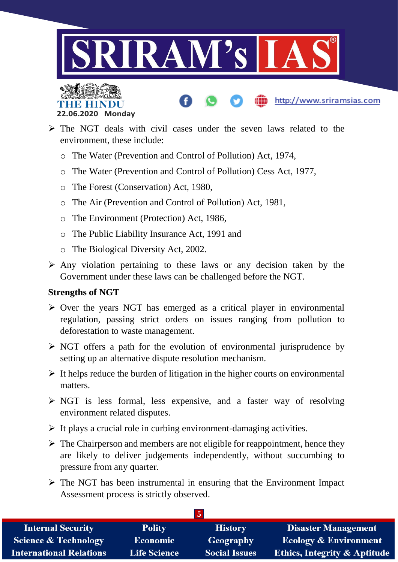

 $\triangleright$  The NGT deals with civil cases under the seven laws related to the environment, these include:

- o The Water (Prevention and Control of Pollution) Act, 1974,
- o The Water (Prevention and Control of Pollution) Cess Act, 1977,
- o The Forest (Conservation) Act, 1980,
- o The Air (Prevention and Control of Pollution) Act, 1981,
- o The Environment (Protection) Act, 1986,
- o The Public Liability Insurance Act, 1991 and
- o The Biological Diversity Act, 2002.
- $\triangleright$  Any violation pertaining to these laws or any decision taken by the Government under these laws can be challenged before the NGT.

#### **Strengths of NGT**

- $\triangleright$  Over the years NGT has emerged as a critical player in environmental regulation, passing strict orders on issues ranging from pollution to deforestation to waste management.
- $\triangleright$  NGT offers a path for the evolution of environmental jurisprudence by setting up an alternative dispute resolution mechanism.
- $\triangleright$  It helps reduce the burden of litigation in the higher courts on environmental matters.
- $\triangleright$  NGT is less formal, less expensive, and a faster way of resolving environment related disputes.
- $\triangleright$  It plays a crucial role in curbing environment-damaging activities.
- $\triangleright$  The Chairperson and members are not eligible for reappointment, hence they are likely to deliver judgements independently, without succumbing to pressure from any quarter.
- $\triangleright$  The NGT has been instrumental in ensuring that the Environment Impact Assessment process is strictly observed.

| <b>Internal Security</b>        | <b>Polity</b>       | <b>History</b>       | <b>Disaster Management</b>              |
|---------------------------------|---------------------|----------------------|-----------------------------------------|
| <b>Science &amp; Technology</b> | <b>Economic</b>     | Geography            | Ecology & Environment                   |
| <b>International Relations</b>  | <b>Life Science</b> | <b>Social Issues</b> | <b>Ethics, Integrity &amp; Aptitude</b> |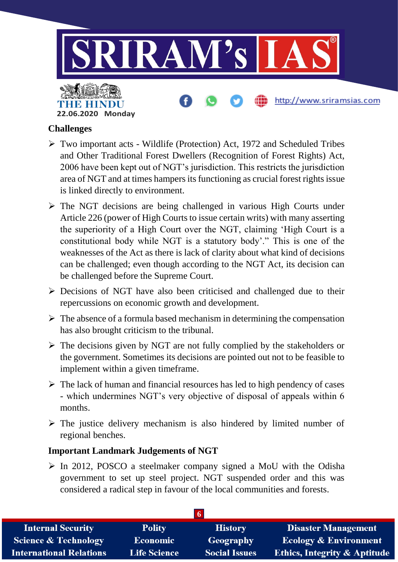

#### **Challenges**

- Two important acts Wildlife (Protection) Act, 1972 and Scheduled Tribes and Other Traditional Forest Dwellers (Recognition of Forest Rights) Act, 2006 have been kept out of NGT's jurisdiction. This restricts the jurisdiction area of NGT and at times hampers its functioning as crucial forest rights issue is linked directly to environment.
- $\triangleright$  The NGT decisions are being challenged in various High Courts under Article 226 (power of High Courts to issue certain writs) with many asserting the superiority of a High Court over the NGT, claiming 'High Court is a constitutional body while NGT is a statutory body'." This is one of the weaknesses of the Act as there is lack of clarity about what kind of decisions can be challenged; even though according to the NGT Act, its decision can be challenged before the Supreme Court.
- $\triangleright$  Decisions of NGT have also been criticised and challenged due to their repercussions on economic growth and development.
- $\triangleright$  The absence of a formula based mechanism in determining the compensation has also brought criticism to the tribunal.
- $\triangleright$  The decisions given by NGT are not fully complied by the stakeholders or the government. Sometimes its decisions are pointed out not to be feasible to implement within a given timeframe.
- $\triangleright$  The lack of human and financial resources has led to high pendency of cases - which undermines NGT's very objective of disposal of appeals within 6 months.
- $\triangleright$  The justice delivery mechanism is also hindered by limited number of regional benches.

#### **Important Landmark Judgements of NGT**

 In 2012, POSCO a steelmaker company signed a MoU with the Odisha government to set up steel project. NGT suspended order and this was considered a radical step in favour of the local communities and forests.

| <b>Internal Security</b>        | <b>Polity</b>       | <b>History</b>       | <b>Disaster Management</b>              |  |
|---------------------------------|---------------------|----------------------|-----------------------------------------|--|
| <b>Science &amp; Technology</b> | Economic            | Geography            | <b>Ecology &amp; Environment</b>        |  |
| <b>International Relations</b>  | <b>Life Science</b> | <b>Social Issues</b> | <b>Ethics, Integrity &amp; Aptitude</b> |  |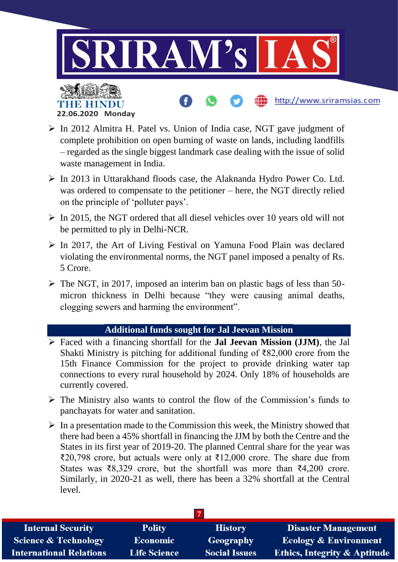

 $\triangleright$  In 2012 Almitra H. Patel vs. Union of India case, NGT gave judgment of complete prohibition on open burning of waste on lands, including landfills – regarded as the single biggest landmark case dealing with the issue of solid waste management in India.

**22.06.2020 Monday**

THE BELLET

- $\triangleright$  In 2013 in Uttarakhand floods case, the Alaknanda Hydro Power Co. Ltd. was ordered to compensate to the petitioner – here, the NGT directly relied on the principle of 'polluter pays'.
- $\triangleright$  In 2015, the NGT ordered that all diesel vehicles over 10 years old will not be permitted to ply in Delhi-NCR.
- $\triangleright$  In 2017, the Art of Living Festival on Yamuna Food Plain was declared violating the environmental norms, the NGT panel imposed a penalty of Rs. 5 Crore.
- $\triangleright$  The NGT, in 2017, imposed an interim ban on plastic bags of less than 50micron thickness in Delhi because "they were causing animal deaths, clogging sewers and harming the environment".

#### **Additional funds sought for Jal Jeevan Mission**

- Faced with a financing shortfall for the **Jal Jeevan Mission (JJM)**, the Jal Shakti Ministry is pitching for additional funding of ₹82,000 crore from the 15th Finance Commission for the project to provide drinking water tap connections to every rural household by 2024. Only 18% of households are currently covered.
- $\triangleright$  The Ministry also wants to control the flow of the Commission's funds to panchayats for water and sanitation.
- $\triangleright$  In a presentation made to the Commission this week, the Ministry showed that there had been a 45% shortfall in financing the JJM by both the Centre and the States in its first year of 2019-20. The planned Central share for the year was ₹20,798 crore, but actuals were only at ₹12,000 crore. The share due from States was ₹8,329 crore, but the shortfall was more than ₹4,200 crore. Similarly, in 2020-21 as well, there has been a 32% shortfall at the Central level.

| <b>Internal Security</b>        | <b>Polity</b>       | <b>History</b>       | <b>Disaster Management</b>              |  |
|---------------------------------|---------------------|----------------------|-----------------------------------------|--|
| <b>Science &amp; Technology</b> | <b>Economic</b>     | Geography            | <b>Ecology &amp; Environment</b>        |  |
| <b>International Relations</b>  | <b>Life Science</b> | <b>Social Issues</b> | <b>Ethics, Integrity &amp; Aptitude</b> |  |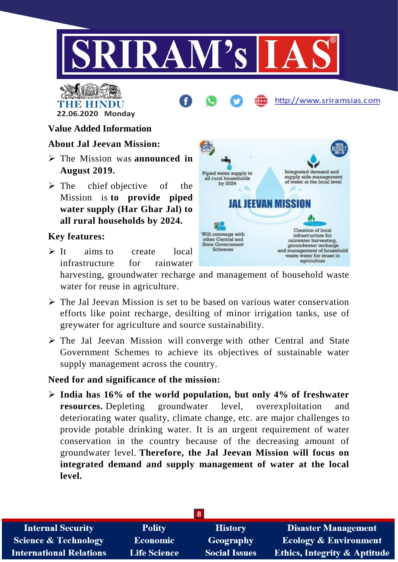



# http://www.sriramsias.com

#### **Value Added Information**

#### **About Jal Jeevan Mission:**

- The Mission was **announced in August 2019.**
- $\triangleright$  The chief objective of the Mission is **to provide piped water supply (Har Ghar Jal) to all rural households by 2024.**

#### **Key features:**

 $\triangleright$  It aims to create local infrastructure for rainwater



harvesting, groundwater recharge and management of household waste water for reuse in agriculture.

- $\triangleright$  The Jal Jeevan Mission is set to be based on various water conservation efforts like point recharge, desilting of minor irrigation tanks, use of greywater for agriculture and source sustainability.
- $\triangleright$  The Jal Jeevan Mission will converge with other Central and State Government Schemes to achieve its objectives of sustainable water supply management across the country.

#### **Need for and significance of the mission:**

 **India has 16% of the world population, but only 4% of freshwater resources.** Depleting groundwater level, overexploitation and deteriorating water quality, climate change, etc. are major challenges to provide potable drinking water. It is an urgent requirement of water conservation in the country because of the decreasing amount of groundwater level. **Therefore, the Jal Jeevan Mission will focus on integrated demand and supply management of water at the local level.**

| <b>Internal Security</b>        | <b>Polity</b>       | <b>History</b>       | <b>Disaster Management</b>              |  |
|---------------------------------|---------------------|----------------------|-----------------------------------------|--|
| <b>Science &amp; Technology</b> | <b>Economic</b>     | Geography            | <b>Ecology &amp; Environment</b>        |  |
| <b>International Relations</b>  | <b>Life Science</b> | <b>Social Issues</b> | <b>Ethics, Integrity &amp; Aptitude</b> |  |